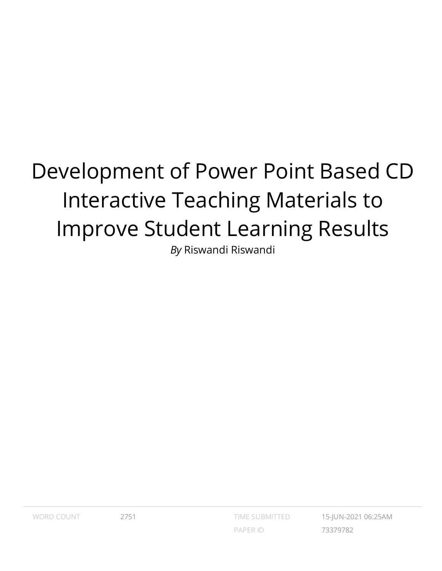# Development of Power Point Based CD Interactive Teaching Materials to Improve Student Learning Results

*By* Riswandi Riswandi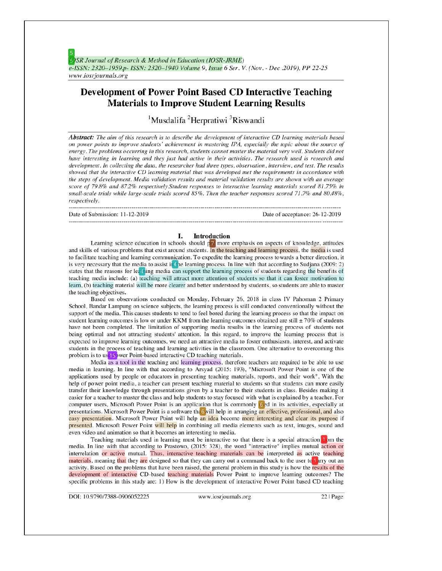# **Development of Power Point Based CD Interactive Teaching Materials to Improve Student Learning Results**

<sup>1</sup>Musdalifa<sup>2</sup>Herpratiwi<sup>3</sup>Riswandi

**Abstract:** The aim of this research is to describe the development of interactive CD learning materials based on power points to improve students' achievement in mastering IPA, especially the topic about the source of energy. The problems occurring in this research, students cannot master the material very well. Students did not have interesting in learning and they just had active in their activities. The research used is research and development. In collecting the data, the researcher had three types, observation, interview, and test. The results showed that the interactive CD learning material that was developed met the requirements in accordance with the steps of development. Media validation results and material validation results are shown with an average score of 79.8% and 87.2% respectively Student responses to interactive learning materials scored 81.75% in small-scale trials while large-scale trials scored 85%. Then the teacher responses scored 71.7% and 80.48%, respectively.

| Date of Submission: 11-12-2019 | Date of acceptance: 26-12-2019 |
|--------------------------------|--------------------------------|

#### Introduction Ι.

Learning science education in schools should p<sub>7</sub> more emphasis on aspects of knowledge, attitudes and skills of various problems that exist around students. In the teaching and learning process, the media is used to facilitate teaching and learning communication. To expedite the learning process towards a better direction, it is very necessary that the media to assist in the learning process. In line with that according to Sudjana (2009: 2) states that the reasons for lea4 ing media can support the learning process of students regarding the benefits of teaching media include: (a) teaching will attract more attention of students so that it can foster motivation to learn, (b) teaching material will be more clearer and better understood by students, so students are able to master the teaching objectives.

Based on observations conducted on Monday, February 26, 2018 in class IV Pahoman 2 Primary School, Bandar Lampung on science subjects, the learning process is still conducted conventionally without the support of the media. This causes students to tend to feel bored during the learning process so that the impact on student learning outcomes is low or under KKM from the learning outcomes obtained are still  $\pm$  70% of students have not been completed. The limitation of supporting media results in the learning process of students not being optimal and not attracting students' attention. In this regard, to improve the learning process that is expected to improve learning outcomes, we need an attractive media to foster enthusiasm, interest, and activate students in the process of teaching and learning activities in the classroom. One alternative to overcoming this problem is to us<sup>15</sup> wer Point-based interactive CD teaching materials.

Media as a tool in the teaching and learning process, therefore teachers are required to be able to use media in learning. In line with that according to Arsyad (2015: 193), "Microsoft Power Point is one of the applications used by people or educators in presenting teaching materials, reports, and their work". With the help of power point media, a teacher can present teaching material to students so that students can more easily transfer their knowledge through presentations given by a teacher to their students in class. Besides making it easier for a teacher to master the class and help students to stay focused with what is explained by a teacher. For computer users, Microsoft Power Point is an application that is commonly  $\sigma$  d in its activities, especially at presentations. Microsoft Power Point is a software the 6 will help in arranging an effective, professional, and also easy presentation. Microsoft Power Point will help an idea become more interesting and clear its purpose if presented. Microsoft Power Point will help in combining all media elements such as text, images, sound and even video and animation so that it becomes an interesting to media.

Teaching materials used in learning must be interactive so that there is a special attraction to media. In line with that according to Prastowo, (2015: 328), the word "interactive" implies mutual action or interrelation or active mutual. Thus, interactive teaching materials can be interpreted as active teaching materials, meaning that they are designed so that they can carry out a command back to the user to tarry out an activity. Based on the problems that have been raised, the general problem in this study is how the results of the development of interactive CD-based teaching materials Power Point to improve learning outcomes? The specific problems in this study are: 1) How is the development of interactive Power Point based CD teaching

DOI: 10.9790/7388-0906052225

www.iosrjournals.org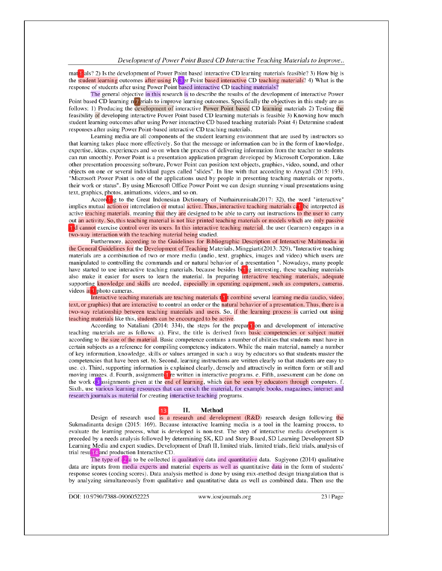#### Development of Power Point Based CD Interactive Teaching Materials to Improve..

matrials? 2) Is the development of Power Point based interactive CD learning materials feasible? 3) How big is the student learning outcomes after using Po<sup>3</sup> er Point based interactive CD teaching materials? 4) What is the response of students after using Power Point based interactive CD teaching materials?

The general objective in this research is to describe the results of the development of interactive Power Point based CD learning  $n^2$  crials to improve learning outcomes. Specifically the objectives in this study are as follows: 1) Producing the development of interactive Power Point based CD learning materials 2) Testing t feasibility of developing interactive Power Point based CD learning materials is feasible 3) Knowing how much student learning outcomes after using Power interactive CD based teaching materials Point 4) Determine student responses after using Power Point-based interactive CD teaching materials.

Learning media are all components of the student learning environment that are used by instructors so that learning takes place more effectively. So that the message or information can be in the form of knowledge, expertise, ideas, experiences and so on when the process of delivering information from the teacher to students can run smoothly. Power Point is a presentation application program developed by Microsoft Corporation. Like other presentation processing software, Power Point can position text objects, graphics, video, sound, and other objects on one or several individual pages called "slides". In line with that according to Arsyad (2015: 193), "Microsoft Power Point is one of the applications used by people in presenting teaching materials or reports, their work or status". By using Microsoft Office Power Point we can design stunning visual presentations using text, graphics, photos, animations, videos, and so on.

According to the Great Indonesian Dictionary of Nurhairunnisah(2017: 32), the word "interactive" implies mutual action or interrelation or mutual active. Thus, interactive teaching materials can be interpreted as active teaching materials, meaning that they are designed to be able to carry out instructions to the user out an activity. So, this teaching material is not like printed teaching materials or models which are only passive 11d cannot exercise control over its users. In this interactive teaching material, the user (learners) engages in a two-way interaction with the teaching material being studied.

Furthermore, according to the Guidelines for Bibliographic Description of Interactive Multimedia in the General Guidelines for the Development of Teaching Materials, Minggiarti(2013: 329), "Interactive teaching materials are a combination of two or more media (audio, text, graphics, images and video) which users are manipulated to controlling the commands and or natural behavior of a presentation ". Nowadays, many people have started to use interactive teaching materials, because besides being interesting, these teaching materials also make it easier for users to learn the material. In preparing interactive teaching materials, adequate supporting knowledge and skills are needed, especially in operating equipment, such as computers, cameras, videos and photo cameras.

Interactive teaching materials are teaching materials the teaching several learning media (audio, video, text, or graphics) that are interactive to control an order or the natural behavior of a presentation. Thus, there is two-way relationship between teaching materials and users. So, if the learning process is carried out using teaching materials like this, students can be encouraged to be active.

According to Nataliani (2014: 334), the steps for the preparation and development of interactive teaching materials are as follows: a). First, the title is derived from **basic** competencies or subject matter according to the size of the material. Basic competence contains a number of abilities that students must have in certain subjects as a reference for compiling competency indicators. While the main material, namely a number of key information, knowledge, skills or values arranged in such a way by educators so that students master the competencies that have been set. b). Second, learning instructions are written clearly so that students are easy to use. c). Third, supporting information is explained clearly, densely and attractively in written form or still and moving images. d. Fourth, assignments the written in interactive programs. e. Fifth, assessment can be done on the work  $\alpha$ <sup>3</sup> assignments given at the end of learning, which can be seen by educators through computers. f. Sixth, use various learning resources that can enrich the material, for example books, magazines, internet and research journals as material for creating interactive teaching programs.

#### П.

#### Method

Design of research used is a research and development  $(R&D)$  research design following the Sukmadinanta design (2015: 169). Because interactive learning media is a tool in the learning process, to evaluate the learning process, what is developed is non-test. The step of interactive media development is preceded by a needs analysis followed by determining SK, KD and Story Board, SD Learning Development SD Learning Media and expert studies, Development of Draft II, limited trials, limited trials, field trials, analysis of trial result14 and production Interactive CD.

The type of  $\sqrt{2}$  a to be collected is qualitative data and quantitative data. Sugiyono (2014) qualitative data are inputs from media experts and material experts as well as quantitative data in the form of students' response scores (coding scores). Data analysis method is done by using mix-method design triangulation that is by analyzing simultaneously from qualitative and quantitative data as well as combined data. Then use the

DOI: 10.9790/7388-0906052225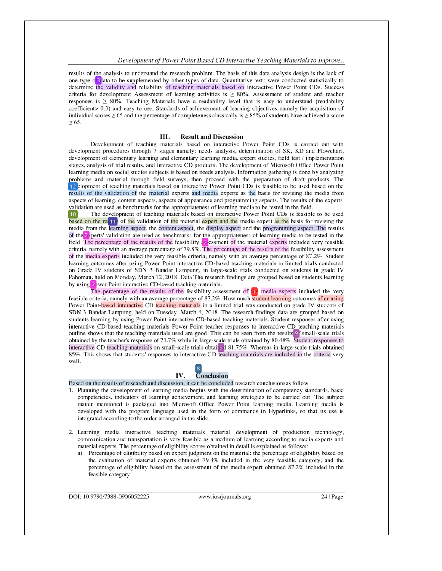#### Development of Power Point Based CD Interactive Teaching Materials to Improve..

results of the analysis to understand the research problem. The basis of this data analysis design is the lack of one type  $\sigma$ <sup>3</sup> data to be supplemented by other types of data. Quantitative tests were conducted statistically to determine the validity and reliability of teaching materials based on interactive Power Point CDs. Succes criteria for development Assessment of learning activities is  $\geq 80\%$ , Assessment of student and teacher responses is  $\geq 80\%$ . Teaching Materials have a readability level that is easy to understand (readability coefficient > 0.3) and easy to use, Standards of achievement of learning objectives namely the acquisition of individual scores  $\geq 65$  and the percentage of completeness classically is  $\geq 85\%$  of students have achieved a score  $\geq 65$ .

#### Ш. **Result and Discussion**

Development of teaching materials based on interactive Power Point CDs is carried out with development procedures through 7 stages namely: needs analysis, determination of SK, KD and Flowchart, development of elementary learning and elementary learning media, expert studies, field test / implementation stages, analysis of trial results, and interactive CD products. The development of Microsoft Office Power Point learning media on social studies subjects is based on needs analysis. Information gathering is done by analyzing problems and material through field surveys, then proceed with the preparation of draft products. The 12 elopment of teaching materials based on interactive Power Point CDs is feasible to be used based on the results of the validation of the material experts and media experts as the basis for revising the media from aspects of learning, content aspects, aspects of appearance and programming aspects. The results of the experts' validation are used as benchmarks for the appropriateness of learning media to be tested in the field.

The development of teaching materials based on interactive Power Point CDs is feasible to be used 10 based on the res<sup>11</sup> of the validation of the material expert and the media expert as the basis for revising the media from the learning aspect, the content aspect, the display aspect and the programming aspect. The results of the 2 sperts' validation are used as benchmarks for the appropriateness of learning media to be tested in the field. The percentage of the results of the feasibility  $\frac{1}{2}$  essment of the material experts included very feasible criteria, namely with an average percentage of 79.8%. The percentage of the results of the feasibili of the media experts included the very feasible criteria, namely with an average percentage of 87.2%. Student learning outcomes after using Power Point interactive CD-based teaching materials in limited trials conducted on Grade IV students of SDN 3 Bandar Lampung, in large-scale trials conducted on students in grade IV Pahoman, held on Monday, March 12, 2018. Data The research findings are grouped based on students learning by using 2 wer Point interactive CD-based teaching materials.

The percentage of the results of the feasibility assessment of  $\mathbf{u}_e$  media experts included the very feasible criteria, namely with an average percentage of 87.2%. How much student learning outcomes after using Power Point-based interactive CD teaching materials in a limited trial was conducted on grade IV students of SDN 3 Bandar Lampung, held on Tuesday, March 6, 2018. The research findings data are grouped based on students learning by using Power Point interactive CD-based teaching materials. Student responses after using interactive CD-based teaching materials Power Point teacher responses to interactive CD teaching materials outline shows that the teaching materials used are good. This can be seen from the results 9<sup>f</sup> small-scale trials obtained by the teacher's response of 71.7% while in large-scale trials obtained by 80.48%. Student responses to interactive CD teaching materials on small-scale trials obtained 81.75%. Whereas in large-scale trials obtained 85%. This shows that students' responses to interactive CD teaching materials are included in the criteria very well.

#### 8 IV.  $\overline{\mathbf{C}}$ onclusion

Based on the results of research and discussion, it can be concluded research conclusions as follow

- 1. Planning the development of learning media begins with the determination of competency standards, basic competencies, indicators of learning achievement, and learning strategies to be carried out. The subject matter mentioned is packaged into Microsoft Office Power Point learning media. Learning media is developed with the program language used in the form of commands in Hyperlinks, so that its use is integrated according to the order arranged in the slide.
- 2. Learning media interactive teaching materials material development of production technology, communication and transportation is very feasible as a medium of learning according to media experts and material experts. The percentage of eligibility scores obtained in detail is explained as follows:
	- Percentage of eligibility based on expert judgment on the material: the percentage of eligibility based on the evaluation of material experts obtained 79.8% included in the very feasible category, and the percentage of eligibility based on the assessment of the media expert obtained 87.2% included in the feasible category.

DOI: 10.9790/7388-0906052225

www.iosrjournals.org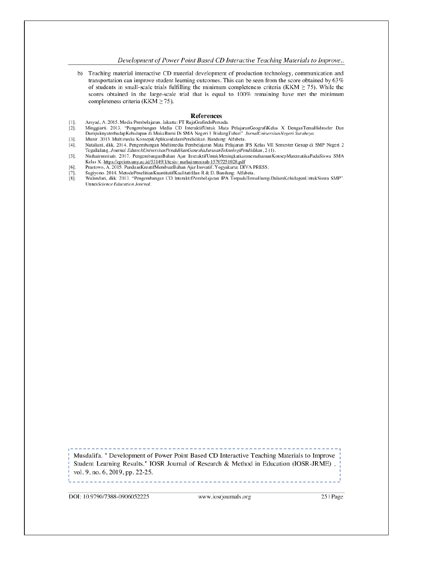## Development of Power Point Based CD Interactive Teaching Materials to Improve..

b) Teaching material interactive CD material development of production technology, communication and transportation can improve student learning outcomes. This can be seen from the score obtained by 63% of students in small-scale trials fulfilling the minimum completeness criteria (KKM  $\geq$  75). While the scores obtained in the large-scale trial that is equal to 100% remaining have met the minimum completeness criteria (KKM  $\geq$  75).

## References

- $[1]$ . Arsyad, A. 2015. Media Pembelajaran. Jakarta: PT RajaGrafindoPersada.
- Minggiarti. 2013. "Pengembangan Media CD InteraktifUntuk Mata PelajaranGeografiKelas X DenganTemaHidrosfer Dan  $[2]$ . DampaknyaterhadapKehidupan di MukaBumi Di SMA Negeri 1 WidangTuban". JurnalUniversitasNegeri Surabaya.
- Munir. 2013. Multimedia Konsep& AplikasidalamPendidikan. Bandung: Alfabeta.  $[3].$ Nataliani, dkk. 2014. Pengembangan Multimedia Pembelajaran Mata Pelajaran IPS Kelas VII Semester Genap di SMP Negeri 2  $[4].$
- Tegallalang. Journal EdutechUniversitasPendidikanGaneshaJurusanTeknologiPendidikan, 2 (1).  $[5]$ . Nurhairunnisah. 2017. PengembanganBahan Ajar InteraktifUntukMeningkatkanmemahamanKonsepMatematikaPadaSiswa SMA
- Kelas X. https://eprints.uny.ac.id/53149/1/tesis-nurhairunnisah-15707251028.pdf  $[6]$ . Prastowo, A. 2015. PanduanKreatifMembuatBahan Ajar Inovatif. Yogyakarta: DIVA PRESS.
- $[7].$ Sugiyono. 2014. MetodePenelitianKuantitatifKualitatifdan R & D. Bandung: Alfabeta.
- Wulandari, dkk. 2013. "Pengembangan CD InteraktifPembelajaran IPA TerpaduTemaEnergiDalamKehidupanUntukSiswa SMP".  $[8]$ . UnnesScience Education Journal.

Musdalifa. " Development of Power Point Based CD Interactive Teaching Materials to Improve Student Learning Results." IOSR Journal of Research & Method in Education (IOSR-JRME), vol. 9, no. 6, 2019, pp. 22-25.

DOI: 10.9790/7388-0906052225

www.iosrjournals.org

25 | Page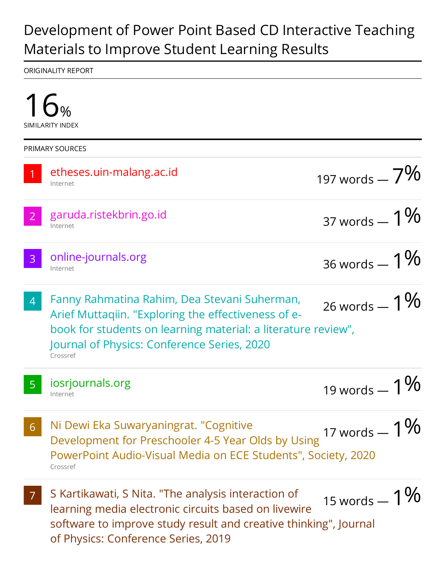# Development of Power Point Based CD Interactive Teaching Materials to Improve Student Learning Results

ORIGINALITY REPORT

| <b>PRIMARY SOURCES</b> |                                                                                                                                                                                                                                 |                  |
|------------------------|---------------------------------------------------------------------------------------------------------------------------------------------------------------------------------------------------------------------------------|------------------|
|                        | etheses.uin-malang.ac.id<br>Internet                                                                                                                                                                                            | 197 words $-7\%$ |
| 2                      | garuda.ristekbrin.go.id<br>Internet                                                                                                                                                                                             | 37 words $-1\%$  |
| 3                      | online-journals.org<br>Internet                                                                                                                                                                                                 | 36 words $-1\%$  |
| $\overline{4}$         | Fanny Rahmatina Rahim, Dea Stevani Suherman,<br>Arief Muttaqiin. "Exploring the effectiveness of e-<br>book for students on learning material: a literature review",<br>Journal of Physics: Conference Series, 2020<br>Crossref | 26 words $-1\%$  |
|                        | iosrjournals.org<br>Internet                                                                                                                                                                                                    | 19 words $-1$    |
| 6                      | Ni Dewi Eka Suwaryaningrat. "Cognitive<br>Development for Preschooler 4-5 Year Olds by Using<br>PowerPoint Audio-Visual Media on ECE Students", Society, 2020<br>Crossref                                                       | 17 words $-1\%$  |
|                        | S Kartikawati, S Nita. "The analysis interaction of<br>learning media electronic circuits based on livewire<br>software to improve study result and creative thinking", Journal<br>of Physics: Conference Series, 2019          | 15 words $-1\%$  |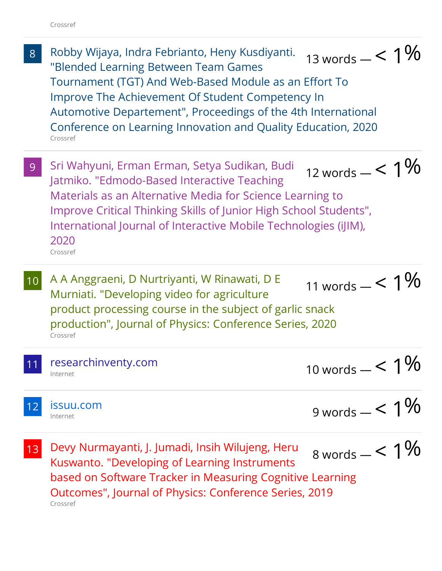- 8 Robby Wijaya, Indra Febrianto, Heny Kusdiyanti. "Blended Learning Between Team Games Tournament (TGT) And Web-Based Module as an Effort To Improve The Achievement Of Student Competency In Automotive Departement", Proceedings of the 4th International Conference on Learning Innovation and Quality Education, 2020 Crossref 13 words  $-$  < 1 $%$
- 9 Sri Wahyuni, Erman Erman, Setya Sudikan, Budi Jatmiko. "Edmodo-Based Interactive Teaching Materials as an Alternative Media for Science Learning to Improve Critical Thinking Skills of Junior High School Students", International Journal of Interactive Mobile Technologies (iJIM), 2020 Crossref 12 words  $-$  < 1 $%$
- 10 A A Anggraeni, D Nurtriyanti, W Rinawati, D E Murniati. "Developing video for agriculture product processing course in the subject of garlic snack production", Journal of Physics: Conference Series, 2020 Crossref 11 words  $-$  < 1%
- 11 researchinventy.com Internet

10 words  $- < 1\%$ 

12 issuu.com Internet

```
9 words - < 1%
```
13 Devy Nurmayanti, J. Jumadi, Insih Wilujeng, Heru Kuswanto. "Developing of Learning Instruments based on Software Tracker in Measuring Cognitive Learning Outcomes", Journal of Physics: Conference Series, 2019 Crossref  $8 \text{ words} - 5.1\%$